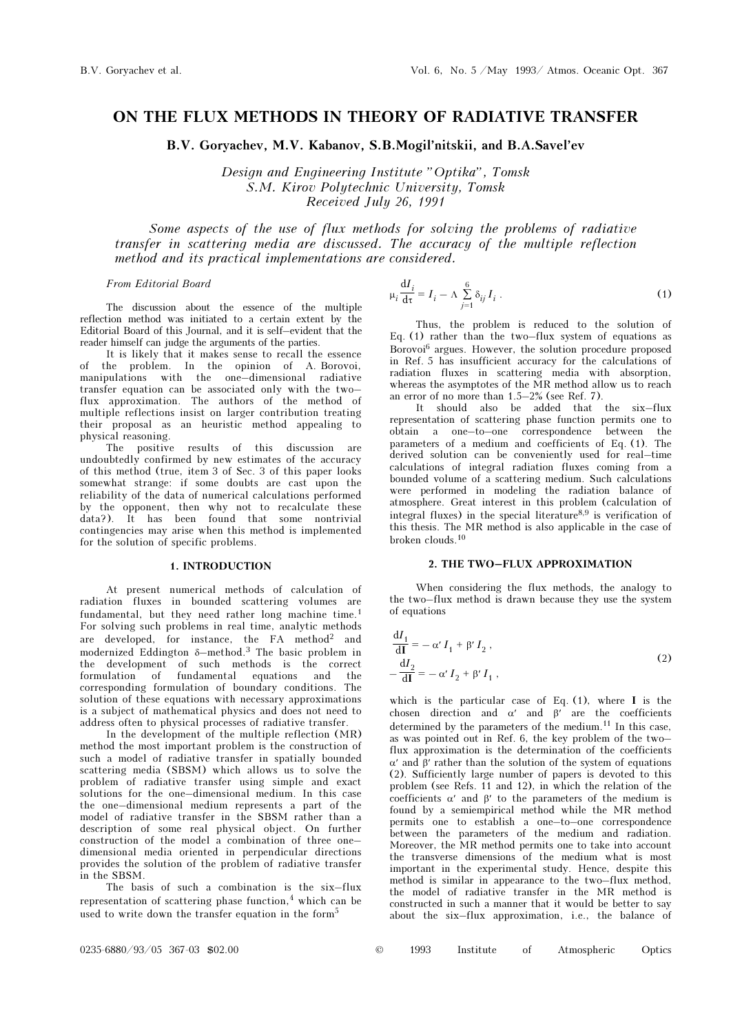# ON THE FLUX METHODS IN THEORY OF RADIATIVE TRANSFER

B.V. Goryachev, M.V. Kabanov, S.B.Mogil'nitskii, and B.A.Savel'ev

Design and Engineering Institute "Optika", Tomsk S.M. Kirov Polytechnic University, Tomsk Received July 26, 1991

Some aspects of the use of flux methods for solving the problems of radiative transfer in scattering media are discussed. The accuracy of the multiple reflection method and its practical implementations are considered.

## From Editorial Board

The discussion about the essence of the multiple reflection method was initiated to a certain extent by the Editorial Board of this Journal, and it is self–evident that the reader himself can judge the arguments of the parties.

It is likely that it makes sense to recall the essence of the problem. In the opinion of A. Borovoi, manipulations with the one–dimensional radiative transfer equation can be associated only with the two– flux approximation. The authors of the method of multiple reflections insist on larger contribution treating their proposal as an heuristic method appealing to physical reasoning.

The positive results of this discussion are undoubtedly confirmed by new estimates of the accuracy of this method (true, item 3 of Sec. 3 of this paper looks somewhat strange: if some doubts are cast upon the reliability of the data of numerical calculations performed by the opponent, then why not to recalculate these data?). It has been found that some nontrivial contingencies may arise when this method is implemented for the solution of specific problems.

#### 1. INTRODUCTION

At present numerical methods of calculation of radiation fluxes in bounded scattering volumes are fundamental, but they need rather long machine time.<sup>1</sup> For solving such problems in real time, analytic methods are developed, for instance, the  $FA$  method<sup>2</sup> and modernized Eddington  $\delta$ -method.<sup>3</sup> The basic problem in the development of such methods is the correct formulation of fundamental equations and the corresponding formulation of boundary conditions. The solution of these equations with necessary approximations is a subject of mathematical physics and does not need to address often to physical processes of radiative transfer.

In the development of the multiple reflection (MR) method the most important problem is the construction of such a model of radiative transfer in spatially bounded scattering media (SBSM) which allows us to solve the problem of radiative transfer using simple and exact solutions for the one–dimensional medium. In this case the one–dimensional medium represents a part of the model of radiative transfer in the SBSM rather than a description of some real physical object. On further construction of the model a combination of three one– dimensional media oriented in perpendicular directions provides the solution of the problem of radiative transfer in the SBSM.

The basis of such a combination is the six–flux representation of scattering phase function, $4$  which can be used to write down the transfer equation in the form<sup>5</sup>

$$
\mu_i \frac{dI_i}{d\tau} = I_i - \Lambda \sum_{j=1}^{6} \delta_{ij} I_i . \tag{1}
$$

Thus, the problem is reduced to the solution of Eq. (1) rather than the two–flux system of equations as Borovoi6 argues. However, the solution procedure proposed in Ref. 5 has insufficient accuracy for the calculations of radiation fluxes in scattering media with absorption, whereas the asymptotes of the MR method allow us to reach an error of no more than 1.5–2% (see Ref. 7).

It should also be added that the six–flux representation of scattering phase function permits one to obtain a one–to–one correspondence between the parameters of a medium and coefficients of Eq. (1). The derived solution can be conveniently used for real–time calculations of integral radiation fluxes coming from a bounded volume of a scattering medium. Such calculations were performed in modeling the radiation balance of atmosphere. Great interest in this problem (calculation of integral fluxes) in the special literature<sup>8,9</sup> is verification of this thesis. The MR method is also applicable in the case of broken clouds.<sup>10</sup>

#### 2. THE TWO–FLUX APPROXIMATION

When considering the flux methods, the analogy to the two–flux method is drawn because they use the system of equations

$$
\frac{dI_1}{dI} = -\alpha' I_1 + \beta' I_2,
$$
  

$$
-\frac{dI_2}{dI} = -\alpha' I_2 + \beta' I_1,
$$
 (2)

which is the particular case of Eq. (1), where I is the chosen direction and  $\alpha'$  and  $\beta'$  are the coefficients determined by the parameters of the medium.<sup>11</sup> In this case, as was pointed out in Ref. 6, the key problem of the two– flux approximation is the determination of the coefficients α′ and β′ rather than the solution of the system of equations (2). Sufficiently large number of papers is devoted to this problem (see Refs. 11 and 12), in which the relation of the coefficients α′ and β′ to the parameters of the medium is found by a semiempirical method while the MR method permits one to establish a one–to–one correspondence between the parameters of the medium and radiation. Moreover, the MR method permits one to take into account the transverse dimensions of the medium what is most important in the experimental study. Hence, despite this method is similar in appearance to the two–flux method, the model of radiative transfer in the MR method is constructed in such a manner that it would be better to say about the six–flux approximation, i.e., the balance of

|  | 1993 | Institute |  | Atmospheric | Optics |
|--|------|-----------|--|-------------|--------|
|--|------|-----------|--|-------------|--------|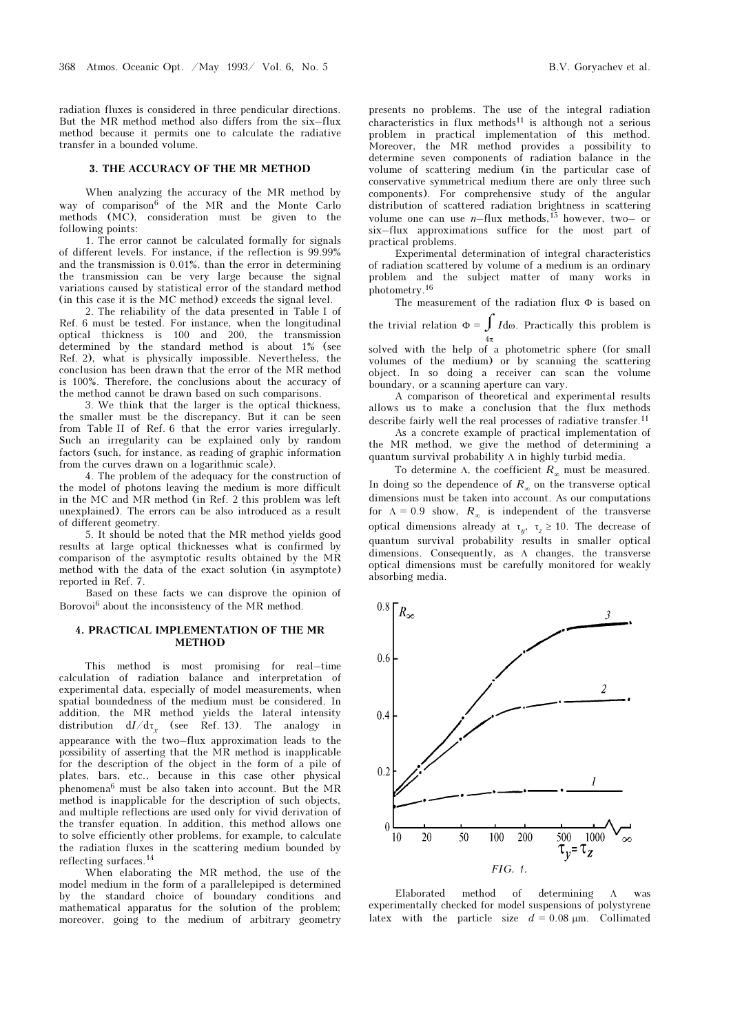radiation fluxes is considered in three pendicular directions. But the MR method method also differs from the six–flux method because it permits one to calculate the radiative transfer in a bounded volume.

# 3. THE ACCURACY OF THE MR METHOD

When analyzing the accuracy of the MR method by way of comparison<sup>6</sup> of the MR and the Monte Carlo methods (MC), consideration must be given to the following points:

1. The error cannot be calculated formally for signals of different levels. For instance, if the reflection is 99.99% and the transmission is 0.01%, than the error in determining the transmission can be very large because the signal variations caused by statistical error of the standard method (in this case it is the MC method) exceeds the signal level.

2. The reliability of the data presented in Table I of Ref. 6 must be tested. For instance, when the longitudinal optical thickness is 100 and 200, the transmission determined by the standard method is about 1% (see Ref. 2), what is physically impossible. Nevertheless, the conclusion has been drawn that the error of the MR method is 100%. Therefore, the conclusions about the accuracy of the method cannot be drawn based on such comparisons.

3. We think that the larger is the optical thickness, the smaller must be the discrepancy. But it can be seen from Table II of Ref. 6 that the error varies irregularly. Such an irregularity can be explained only by random factors (such, for instance, as reading of graphic information from the curves drawn on a logarithmic scale).

4. The problem of the adequacy for the construction of the model of photons leaving the medium is more difficult in the MC and MR method (in Ref. 2 this problem was left unexplained). The errors can be also introduced as a result of different geometry.

5. It should be noted that the MR method yields good results at large optical thicknesses what is confirmed by comparison of the asymptotic results obtained by the MR method with the data of the exact solution (in asymptote) reported in Ref. 7.

Based on these facts we can disprove the opinion of Borovoi<sup>6</sup> about the inconsistency of the MR method.

# 4. PRACTICAL IMPLEMENTATION OF THE MR METHOD

This method is most promising for real–time calculation of radiation balance and interpretation of experimental data, especially of model measurements, when spatial boundedness of the medium must be considered. In addition, the MR method yields the lateral intensity distribution  $dI/d\tau_x$  (see Ref. 13). The analogy in appearance with the two–flux approximation leads to the possibility of asserting that the MR method is inapplicable for the description of the object in the form of a pile of plates, bars, etc., because in this case other physical phenomena6 must be also taken into account. But the MR method is inapplicable for the description of such objects, and multiple reflections are used only for vivid derivation of the transfer equation. In addition, this method allows one to solve efficiently other problems, for example, to calculate the radiation fluxes in the scattering medium bounded by reflecting surfaces.<sup>14</sup>

When elaborating the MR method, the use of the model medium in the form of a parallelepiped is determined by the standard choice of boundary conditions and mathematical apparatus for the solution of the problem; moreover, going to the medium of arbitrary geometry presents no problems. The use of the integral radiation

characteristics in flux methods<sup>11</sup> is although not a serious problem in practical implementation of this method. Moreover, the MR method provides a possibility to determine seven components of radiation balance in the volume of scattering medium (in the particular case of conservative symmetrical medium there are only three such components). For comprehensive study of the angular distribution of scattered radiation brightness in scattering volume one can use  $n$ -flux methods,<sup>15</sup> however, two- or six–flux approximations suffice for the most part of practical problems.

Experimental determination of integral characteristics of radiation scattered by volume of a medium is an ordinary problem and the subject matter of many works in photometry.<sup>16</sup>

The measurement of the radiation flux Φ is based on the trivial relation  $\Phi = \int I d\omega$ . Practically this problem is

 $4π$ solved with the help of a photometric sphere (for small volumes of the medium) or by scanning the scattering object. In so doing a receiver can scan the volume boundary, or a scanning aperture can vary.

A comparison of theoretical and experimental results allows us to make a conclusion that the flux methods describe fairly well the real processes of radiative transfer.<sup>11</sup> As a concrete example of practical implementation of the MR method, we give the method of determining a

quantum survival probability Λ in highly turbid media. To determine Λ, the coefficient  $R_{\infty}$  must be measured.

In doing so the dependence of  $R_{\infty}$  on the transverse optical dimensions must be taken into account. As our computations for  $\Lambda = 0.9$  show,  $R_{\infty}$  is independent of the transverse optical dimensions already at  $\tau_y$ ,  $\tau_z \ge 10$ . The decrease of quantum survival probability results in smaller optical dimensions. Consequently, as Λ changes, the transverse optical dimensions must be carefully monitored for weakly absorbing media.



Elaborated method of determining Λ was experimentally checked for model suspensions of polystyrene latex with the particle size  $d = 0.08$  μm. Collimated